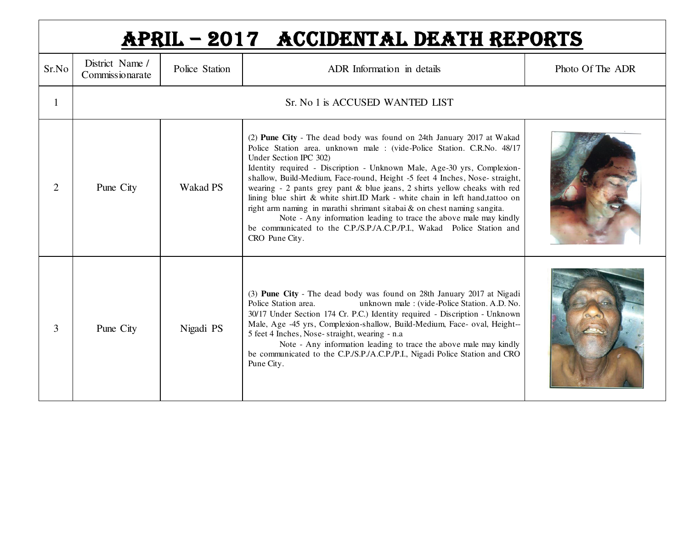|                | APRIL - 2017 ACCIDENTAL DEATH REPORTS |                 |                                                                                                                                                                                                                                                                                                                                                                                                                                                                                                                                                                                                                                                                                                                                              |                  |  |  |
|----------------|---------------------------------------|-----------------|----------------------------------------------------------------------------------------------------------------------------------------------------------------------------------------------------------------------------------------------------------------------------------------------------------------------------------------------------------------------------------------------------------------------------------------------------------------------------------------------------------------------------------------------------------------------------------------------------------------------------------------------------------------------------------------------------------------------------------------------|------------------|--|--|
| Sr.No          | District Name /<br>Commissionarate    | Police Station  | ADR Information in details                                                                                                                                                                                                                                                                                                                                                                                                                                                                                                                                                                                                                                                                                                                   | Photo Of The ADR |  |  |
|                |                                       |                 | Sr. No 1 is ACCUSED WANTED LIST                                                                                                                                                                                                                                                                                                                                                                                                                                                                                                                                                                                                                                                                                                              |                  |  |  |
| $\overline{2}$ | Pune City                             | <b>Wakad PS</b> | (2) Pune City - The dead body was found on 24th January 2017 at Wakad<br>Police Station area. unknown male: (vide-Police Station. C.R.No. 48/17<br>Under Section IPC 302)<br>Identity required - Discription - Unknown Male, Age-30 yrs, Complexion-<br>shallow, Build-Medium, Face-round, Height -5 feet 4 Inches, Nose- straight,<br>wearing - 2 pants grey pant & blue jeans, 2 shirts yellow cheaks with red<br>lining blue shirt & white shirt.ID Mark - white chain in left hand,tattoo on<br>right arm naming in marathi shrimant sitabai & on chest naming sangita.<br>Note - Any information leading to trace the above male may kindly<br>be communicated to the C.P./S.P./A.C.P./P.I., Wakad Police Station and<br>CRO Pune City. |                  |  |  |
| 3              | Pune City                             | Nigadi PS       | (3) Pune City - The dead body was found on 28th January 2017 at Nigadi<br>Police Station area.<br>unknown male: (vide-Police Station. A.D. No.<br>30/17 Under Section 174 Cr. P.C.) Identity required - Discription - Unknown<br>Male, Age -45 yrs, Complexion-shallow, Build-Medium, Face- oval, Height--<br>5 feet 4 Inches, Nose-straight, wearing - n.a<br>Note - Any information leading to trace the above male may kindly<br>be communicated to the C.P./S.P./A.C.P./P.I., Nigadi Police Station and CRO<br>Pune City.                                                                                                                                                                                                                |                  |  |  |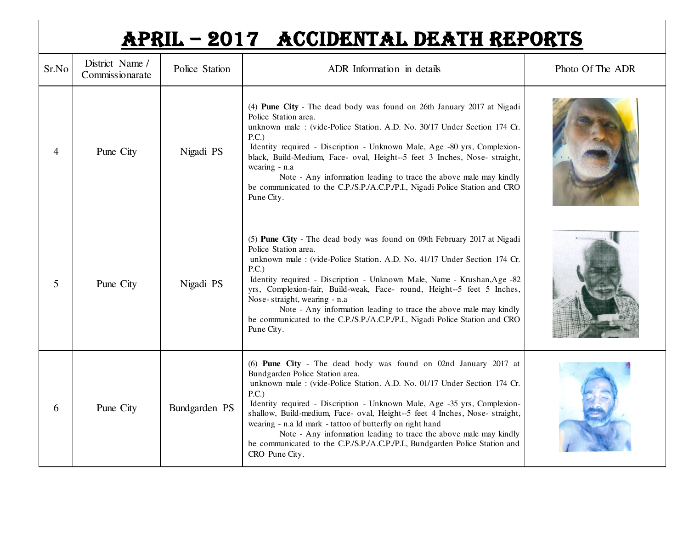|                | APRIL - 2017 ACCIDENTAL DEATH REPORTS |                |                                                                                                                                                                                                                                                                                                                                                                                                                                                                                                                                                                                        |                  |  |  |  |
|----------------|---------------------------------------|----------------|----------------------------------------------------------------------------------------------------------------------------------------------------------------------------------------------------------------------------------------------------------------------------------------------------------------------------------------------------------------------------------------------------------------------------------------------------------------------------------------------------------------------------------------------------------------------------------------|------------------|--|--|--|
| Sr.No          | District Name /<br>Commissionarate    | Police Station | ADR Information in details                                                                                                                                                                                                                                                                                                                                                                                                                                                                                                                                                             | Photo Of The ADR |  |  |  |
| $\overline{4}$ | Pune City                             | Nigadi PS      | (4) Pune City - The dead body was found on 26th January 2017 at Nigadi<br>Police Station area.<br>unknown male : (vide-Police Station. A.D. No. 30/17 Under Section 174 Cr.<br>P.C.<br>Identity required - Discription - Unknown Male, Age -80 yrs, Complexion-<br>black, Build-Medium, Face- oval, Height--5 feet 3 Inches, Nose- straight,<br>wearing - n.a<br>Note - Any information leading to trace the above male may kindly<br>be communicated to the C.P./S.P./A.C.P./P.I., Nigadi Police Station and CRO<br>Pune City.                                                        |                  |  |  |  |
| 5              | Pune City                             | Nigadi PS      | (5) Pune City - The dead body was found on 09th February 2017 at Nigadi<br>Police Station area.<br>unknown male: (vide-Police Station. A.D. No. 41/17 Under Section 174 Cr.<br>P.C.)<br>Identity required - Discription - Unknown Male, Name - Krushan, Age -82<br>yrs, Complexion-fair, Build-weak, Face- round, Height--5 feet 5 Inches,<br>Nose-straight, wearing - n.a<br>Note - Any information leading to trace the above male may kindly<br>be communicated to the C.P./S.P./A.C.P./P.I., Nigadi Police Station and CRO<br>Pune City.                                           |                  |  |  |  |
| 6              | Pune City                             | Bundgarden PS  | (6) Pune City - The dead body was found on 02nd January 2017 at<br>Bundgarden Police Station area.<br>unknown male : (vide-Police Station. A.D. No. 01/17 Under Section 174 Cr.<br>P.C.)<br>Identity required - Discription - Unknown Male, Age -35 yrs, Complexion-<br>shallow, Build-medium, Face- oval, Height--5 feet 4 Inches, Nose- straight,<br>wearing - n.a Id mark - tattoo of butterfly on right hand<br>Note - Any information leading to trace the above male may kindly<br>be communicated to the C.P./S.P./A.C.P./P.I., Bundgarden Police Station and<br>CRO Pune City. |                  |  |  |  |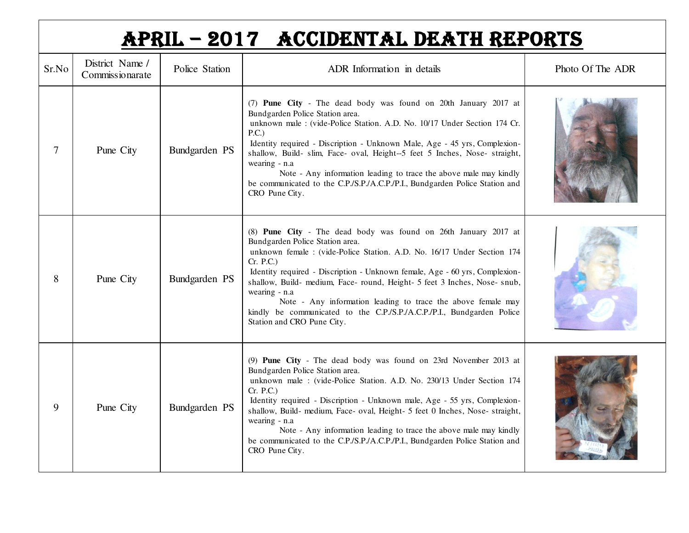|       | APRIL - 2017 ACCIDENTAL DEATH REPORTS |                |                                                                                                                                                                                                                                                                                                                                                                                                                                                                                                                                                 |                  |  |  |
|-------|---------------------------------------|----------------|-------------------------------------------------------------------------------------------------------------------------------------------------------------------------------------------------------------------------------------------------------------------------------------------------------------------------------------------------------------------------------------------------------------------------------------------------------------------------------------------------------------------------------------------------|------------------|--|--|
| Sr.No | District Name /<br>Commissionarate    | Police Station | ADR Information in details                                                                                                                                                                                                                                                                                                                                                                                                                                                                                                                      | Photo Of The ADR |  |  |
| 7     | Pune City                             | Bundgarden PS  | (7) Pune City - The dead body was found on 20th January 2017 at<br>Bundgarden Police Station area.<br>unknown male : (vide-Police Station. A.D. No. 10/17 Under Section 174 Cr.<br>P.C.)<br>Identity required - Discription - Unknown Male, Age - 45 yrs, Complexion-<br>shallow, Build- slim, Face- oval, Height-5 feet 5 Inches, Nose- straight,<br>wearing - n.a<br>Note - Any information leading to trace the above male may kindly<br>be communicated to the C.P./S.P./A.C.P./P.I., Bundgarden Police Station and<br>CRO Pune City.       |                  |  |  |
| 8     | Pune City                             | Bundgarden PS  | (8) Pune City - The dead body was found on 26th January 2017 at<br>Bundgarden Police Station area.<br>unknown female : (vide-Police Station. A.D. No. 16/17 Under Section 174<br>Cr. P.C.)<br>Identity required - Discription - Unknown female, Age - 60 yrs, Complexion-<br>shallow, Build- medium, Face- round, Height- 5 feet 3 Inches, Nose- snub,<br>wearing - n.a<br>Note - Any information leading to trace the above female may<br>kindly be communicated to the C.P./S.P./A.C.P./P.I., Bundgarden Police<br>Station and CRO Pune City. |                  |  |  |
| 9     | Pune City                             | Bundgarden PS  | (9) Pune City - The dead body was found on 23rd November 2013 at<br>Bundgarden Police Station area.<br>unknown male: (vide-Police Station, A.D. No. 230/13 Under Section 174<br>Cr. P.C.)<br>Identity required - Discription - Unknown male, Age - 55 yrs, Complexion-<br>shallow, Build- medium, Face- oval, Height- 5 feet 0 Inches, Nose- straight,<br>wearing - n.a<br>Note - Any information leading to trace the above male may kindly<br>be communicated to the C.P./S.P./A.C.P./P.I., Bundgarden Police Station and<br>CRO Pune City.   |                  |  |  |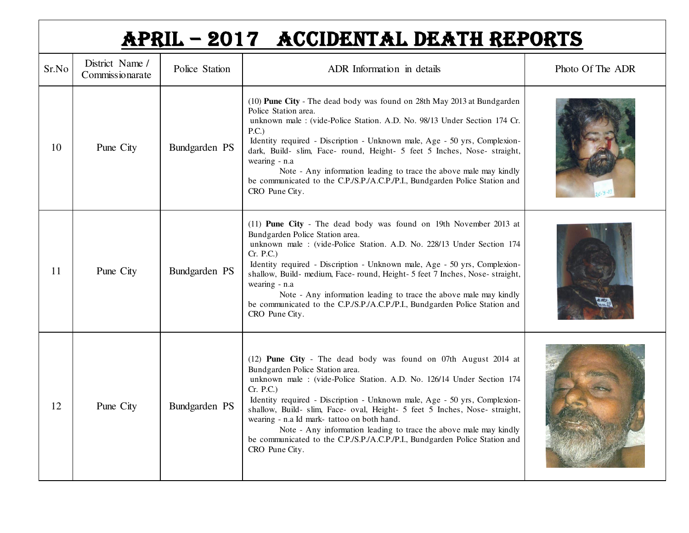|       | APRIL - 2017 ACCIDENTAL DEATH REPORTS |                |                                                                                                                                                                                                                                                                                                                                                                                                                                                                                                                                                                          |                  |  |  |  |
|-------|---------------------------------------|----------------|--------------------------------------------------------------------------------------------------------------------------------------------------------------------------------------------------------------------------------------------------------------------------------------------------------------------------------------------------------------------------------------------------------------------------------------------------------------------------------------------------------------------------------------------------------------------------|------------------|--|--|--|
| Sr.No | District Name /<br>Commissionarate    | Police Station | ADR Information in details                                                                                                                                                                                                                                                                                                                                                                                                                                                                                                                                               | Photo Of The ADR |  |  |  |
| 10    | Pune City                             | Bundgarden PS  | (10) Pune City - The dead body was found on 28th May 2013 at Bundgarden<br>Police Station area.<br>unknown male : (vide-Police Station. A.D. No. 98/13 Under Section 174 Cr.<br>P.C.)<br>Identity required - Discription - Unknown male, Age - 50 yrs, Complexion-<br>dark, Build- slim, Face- round, Height- 5 feet 5 Inches, Nose- straight,<br>wearing - n.a<br>Note - Any information leading to trace the above male may kindly<br>be communicated to the C.P./S.P./A.C.P./P.I., Bundgarden Police Station and<br>CRO Pune City.                                    |                  |  |  |  |
| 11    | Pune City                             | Bundgarden PS  | (11) Pune City - The dead body was found on 19th November 2013 at<br>Bundgarden Police Station area.<br>unknown male : (vide-Police Station. A.D. No. 228/13 Under Section 174<br>Cr. P.C.)<br>Identity required - Discription - Unknown male, Age - 50 yrs, Complexion-<br>shallow, Build- medium, Face- round, Height- 5 feet 7 Inches, Nose- straight,<br>wearing - n.a<br>Note - Any information leading to trace the above male may kindly<br>be communicated to the C.P./S.P./A.C.P./P.I., Bundgarden Police Station and<br>CRO Pune City.                         |                  |  |  |  |
| 12    | Pune City                             | Bundgarden PS  | (12) Pune City - The dead body was found on 07th August 2014 at<br>Bundgarden Police Station area.<br>unknown male: (vide-Police Station. A.D. No. 126/14 Under Section 174<br>Cr. P.C.)<br>Identity required - Discription - Unknown male, Age - 50 yrs, Complexion-<br>shallow, Build- slim, Face- oval, Height- 5 feet 5 Inches, Nose- straight,<br>wearing - n.a Id mark- tattoo on both hand.<br>Note - Any information leading to trace the above male may kindly<br>be communicated to the C.P./S.P./A.C.P./P.I., Bundgarden Police Station and<br>CRO Pune City. |                  |  |  |  |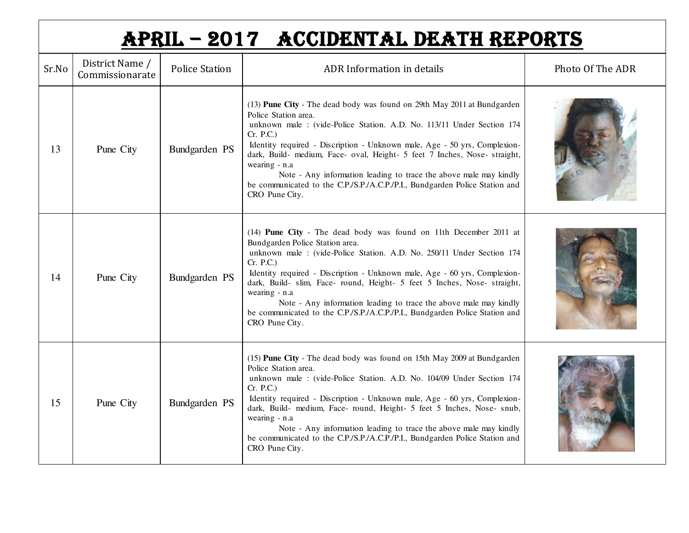|       | APRIL - 2017 ACCIDENTAL DEATH REPORTS |                       |                                                                                                                                                                                                                                                                                                                                                                                                                                                                                                                                             |                  |  |  |
|-------|---------------------------------------|-----------------------|---------------------------------------------------------------------------------------------------------------------------------------------------------------------------------------------------------------------------------------------------------------------------------------------------------------------------------------------------------------------------------------------------------------------------------------------------------------------------------------------------------------------------------------------|------------------|--|--|
| Sr.No | District Name /<br>Commissionarate    | <b>Police Station</b> | ADR Information in details                                                                                                                                                                                                                                                                                                                                                                                                                                                                                                                  | Photo Of The ADR |  |  |
| 13    | Pune City                             | Bundgarden PS         | (13) Pune City - The dead body was found on 29th May 2011 at Bundgarden<br>Police Station area.<br>unknown male : (vide-Police Station. A.D. No. 113/11 Under Section 174<br>Cr. P.C.)<br>Identity required - Discription - Unknown male, Age - 50 yrs, Complexion-<br>dark, Build- medium, Face- oval, Height- 5 feet 7 Inches, Nose- straight,<br>wearing - n.a<br>Note - Any information leading to trace the above male may kindly<br>be communicated to the C.P./S.P./A.C.P./P.I., Bundgarden Police Station and<br>CRO Pune City.     |                  |  |  |
| 14    | Pune City                             | Bundgarden PS         | (14) Pune City - The dead body was found on 11th December 2011 at<br>Bundgarden Police Station area.<br>unknown male : (vide-Police Station. A.D. No. 250/11 Under Section 174<br>Cr. P.C.)<br>Identity required - Discription - Unknown male, Age - 60 yrs, Complexion-<br>dark, Build- slim, Face- round, Height- 5 feet 5 Inches, Nose- straight,<br>wearing - n.a<br>Note - Any information leading to trace the above male may kindly<br>be communicated to the C.P./S.P./A.C.P./P.I., Bundgarden Police Station and<br>CRO Pune City. |                  |  |  |
| 15    | Pune City                             | Bundgarden PS         | (15) Pune City - The dead body was found on 15th May 2009 at Bundgarden<br>Police Station area.<br>unknown male : (vide-Police Station. A.D. No. 104/09 Under Section 174<br>Cr. P.C.)<br>Identity required - Discription - Unknown male, Age - 60 yrs, Complexion-<br>dark, Build- medium, Face- round, Height- 5 feet 5 Inches, Nose- snub,<br>wearing - n.a<br>Note - Any information leading to trace the above male may kindly<br>be communicated to the C.P./S.P./A.C.P./P.I., Bundgarden Police Station and<br>CRO Pune City.        |                  |  |  |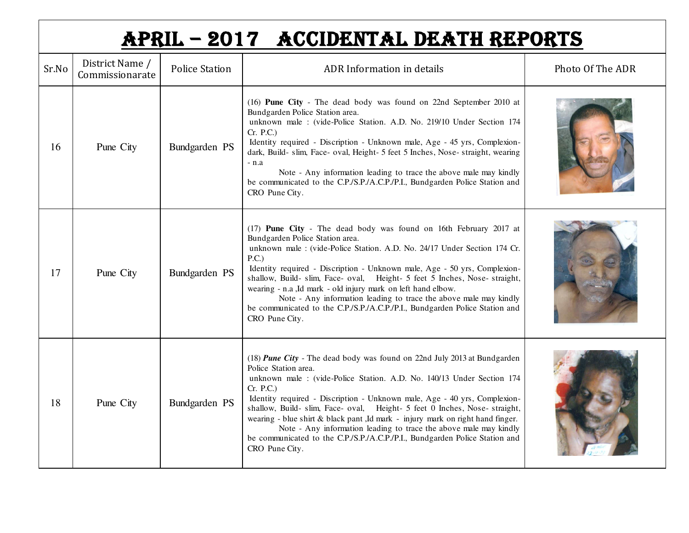|       | APRIL - 2017 ACCIDENTAL DEATH REPORTS |                       |                                                                                                                                                                                                                                                                                                                                                                                                                                                                                                                                                                                                            |                  |  |  |
|-------|---------------------------------------|-----------------------|------------------------------------------------------------------------------------------------------------------------------------------------------------------------------------------------------------------------------------------------------------------------------------------------------------------------------------------------------------------------------------------------------------------------------------------------------------------------------------------------------------------------------------------------------------------------------------------------------------|------------------|--|--|
| Sr.No | District Name /<br>Commissionarate    | <b>Police Station</b> | ADR Information in details                                                                                                                                                                                                                                                                                                                                                                                                                                                                                                                                                                                 | Photo Of The ADR |  |  |
| 16    | Pune City                             | Bundgarden PS         | (16) Pune City - The dead body was found on 22nd September 2010 at<br>Bundgarden Police Station area.<br>unknown male : (vide-Police Station. A.D. No. 219/10 Under Section 174<br>Cr. P.C.)<br>Identity required - Discription - Unknown male, Age - 45 yrs, Complexion-<br>dark, Build- slim, Face- oval, Height- 5 feet 5 Inches, Nose- straight, wearing<br>- n.a<br>Note - Any information leading to trace the above male may kindly<br>be communicated to the C.P./S.P./A.C.P./P.I., Bundgarden Police Station and<br>CRO Pune City.                                                                |                  |  |  |
| 17    | Pune City                             | Bundgarden PS         | (17) Pune City - The dead body was found on 16th February 2017 at<br>Bundgarden Police Station area.<br>unknown male : (vide-Police Station. A.D. No. 24/17 Under Section 174 Cr.<br>P.C.)<br>Identity required - Discription - Unknown male, Age - 50 yrs, Complexion-<br>shallow, Build- slim, Face- oval, Height- 5 feet 5 Inches, Nose- straight,<br>wearing - n.a ,Id mark - old injury mark on left hand elbow.<br>Note - Any information leading to trace the above male may kindly<br>be communicated to the C.P./S.P./A.C.P./P.I., Bundgarden Police Station and<br>CRO Pune City.                |                  |  |  |
| 18    | Pune City                             | Bundgarden PS         | (18) Pune City - The dead body was found on 22nd July 2013 at Bundgarden<br>Police Station area.<br>unknown male : (vide-Police Station. A.D. No. 140/13 Under Section 174<br>Cr. P.C.)<br>Identity required - Discription - Unknown male, Age - 40 yrs, Complexion-<br>shallow, Build- slim, Face- oval, Height- 5 feet 0 Inches, Nose- straight,<br>wearing - blue shirt & black pant ,Id mark - injury mark on right hand finger.<br>Note - Any information leading to trace the above male may kindly<br>be communicated to the C.P./S.P./A.C.P./P.I., Bundgarden Police Station and<br>CRO Pune City. |                  |  |  |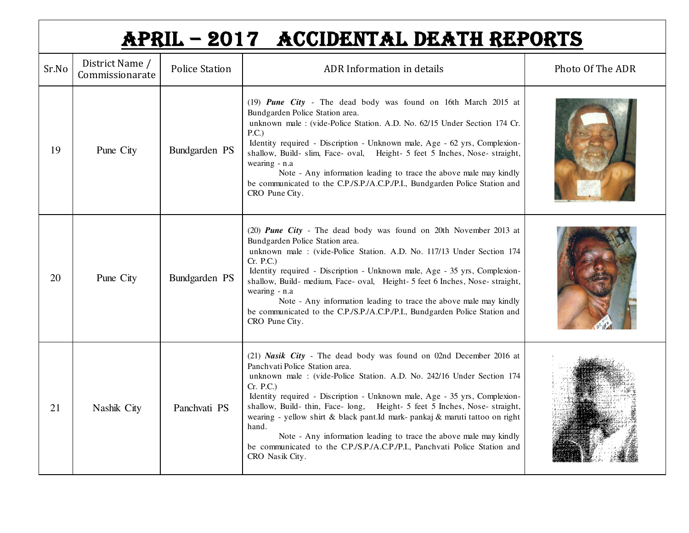|       | APRIL - 2017 ACCIDENTAL DEATH REPORTS |                       |                                                                                                                                                                                                                                                                                                                                                                                                                                                                                                                                                                                                                      |                  |  |  |
|-------|---------------------------------------|-----------------------|----------------------------------------------------------------------------------------------------------------------------------------------------------------------------------------------------------------------------------------------------------------------------------------------------------------------------------------------------------------------------------------------------------------------------------------------------------------------------------------------------------------------------------------------------------------------------------------------------------------------|------------------|--|--|
| Sr.No | District Name /<br>Commissionarate    | <b>Police Station</b> | ADR Information in details                                                                                                                                                                                                                                                                                                                                                                                                                                                                                                                                                                                           | Photo Of The ADR |  |  |
| 19    | Pune City                             | Bundgarden PS         | (19) Pune City - The dead body was found on 16th March 2015 at<br>Bundgarden Police Station area.<br>unknown male : (vide-Police Station. A.D. No. 62/15 Under Section 174 Cr.<br>P.C.<br>Identity required - Discription - Unknown male, Age - 62 yrs, Complexion-<br>shallow, Build- slim, Face- oval, Height- 5 feet 5 Inches, Nose- straight,<br>wearing - n.a<br>Note - Any information leading to trace the above male may kindly<br>be communicated to the C.P./S.P./A.C.P./P.I., Bundgarden Police Station and<br>CRO Pune City.                                                                             |                  |  |  |
| 20    | Pune City                             | Bundgarden PS         | (20) Pune City - The dead body was found on 20th November 2013 at<br>Bundgarden Police Station area.<br>unknown male: (vide-Police Station. A.D. No. 117/13 Under Section 174<br>Cr. P.C.)<br>Identity required - Discription - Unknown male, Age - 35 yrs, Complexion-<br>shallow, Build- medium, Face- oval, Height- 5 feet 6 Inches, Nose- straight,<br>wearing - n.a<br>Note - Any information leading to trace the above male may kindly<br>be communicated to the C.P./S.P./A.C.P./P.I., Bundgarden Police Station and<br>CRO Pune City.                                                                       |                  |  |  |
| 21    | Nashik City                           | Panchyati PS          | (21) Nasik City - The dead body was found on 02nd December 2016 at<br>Panchvati Police Station area.<br>unknown male: (vide-Police Station. A.D. No. 242/16 Under Section 174<br>Cr. P.C.)<br>Identity required - Discription - Unknown male, Age - 35 yrs, Complexion-<br>shallow, Build- thin, Face- long, Height- 5 feet 5 Inches, Nose- straight,<br>wearing - yellow shirt & black pant.Id mark- pankaj & maruti tattoo on right<br>hand.<br>Note - Any information leading to trace the above male may kindly<br>be communicated to the C.P./S.P./A.C.P./P.I., Panchvati Police Station and<br>CRO Nasik City. |                  |  |  |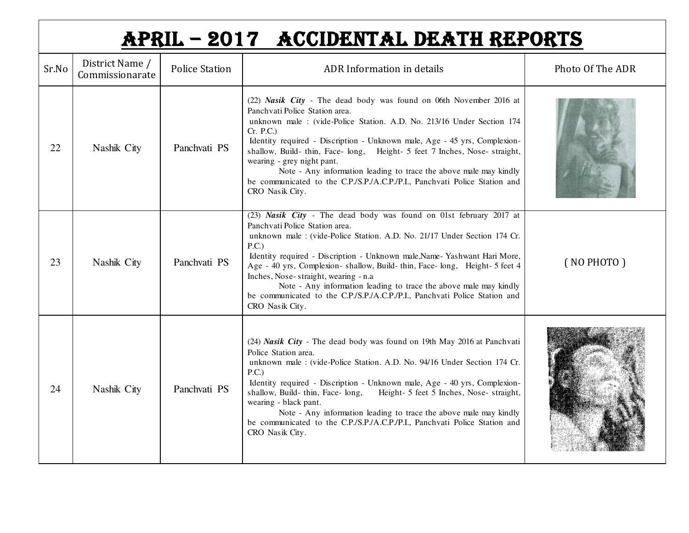|       | APRIL - 2017 ACCIDENTAL DEATH REPORTS |                       |                                                                                                                                                                                                                                                                                                                                                                                                                                                                                                                                                                     |                  |  |  |
|-------|---------------------------------------|-----------------------|---------------------------------------------------------------------------------------------------------------------------------------------------------------------------------------------------------------------------------------------------------------------------------------------------------------------------------------------------------------------------------------------------------------------------------------------------------------------------------------------------------------------------------------------------------------------|------------------|--|--|
| Sr.No | District Name /<br>Commissionarate    | <b>Police Station</b> | ADR Information in details                                                                                                                                                                                                                                                                                                                                                                                                                                                                                                                                          | Photo Of The ADR |  |  |
| 22    | Nashik City                           | Panchyati PS          | (22) Nasik City - The dead body was found on 06th November 2016 at<br>Panchvati Police Station area.<br>unknown male: (vide-Police Station. A.D. No. 213/16 Under Section 174<br>Cr. P.C.)<br>Identity required - Discription - Unknown male, Age - 45 yrs, Complexion-<br>shallow, Build-thin, Face-long, Height- 5 feet 7 Inches, Nose-straight,<br>wearing - grey night pant.<br>Note - Any information leading to trace the above male may kindly<br>be communicated to the C.P./S.P./A.C.P./P.I., Panchvati Police Station and<br>CRO Nasik City.              |                  |  |  |
| 23    | Nashik City                           | Panchyati PS          | (23) Nasik City - The dead body was found on 01st february 2017 at<br>Panchvati Police Station area.<br>unknown male : (vide-Police Station. A.D. No. 21/17 Under Section 174 Cr.<br>P.C.)<br>Identity required - Discription - Unknown male, Name-Yashwant Hari More,<br>Age - 40 yrs, Complexion- shallow, Build-thin, Face-long, Height- 5 feet 4<br>Inches, Nose-straight, wearing - n.a.<br>Note - Any information leading to trace the above male may kindly<br>be communicated to the C.P./S.P./A.C.P./P.I., Panchvati Police Station and<br>CRO Nasik City. | (NOPHOTO)        |  |  |
| 24    | Nashik City                           | Panchyati PS          | (24) Nasik City - The dead body was found on 19th May 2016 at Panchvati<br>Police Station area.<br>unknown male : (vide-Police Station. A.D. No. 94/16 Under Section 174 Cr.<br>P.C.<br>Identity required - Discription - Unknown male, Age - 40 yrs, Complexion-<br>shallow, Build-thin, Face-long,<br>Height- 5 feet 5 Inches, Nose- straight,<br>wearing - black pant.<br>Note - Any information leading to trace the above male may kindly<br>be communicated to the C.P./S.P./A.C.P./P.I., Panchvati Police Station and<br>CRO Nasik City.                     |                  |  |  |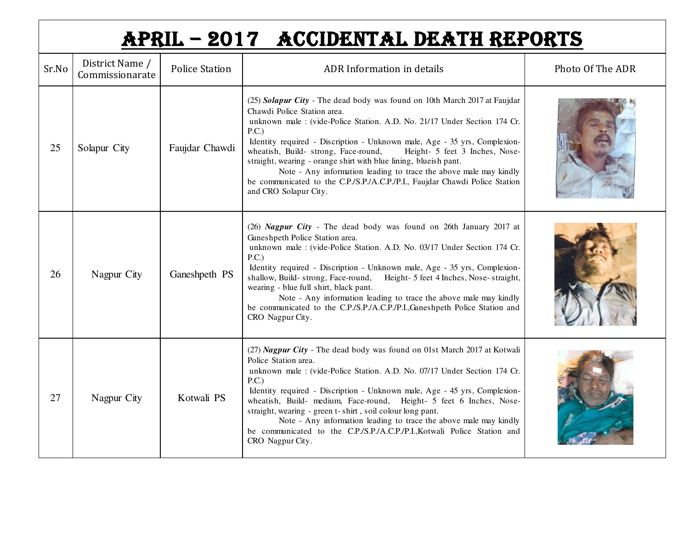|       | APRIL - 2017 ACCIDENTAL DEATH REPORTS |                       |                                                                                                                                                                                                                                                                                                                                                                                                                                                                                                                                                                                                        |                  |  |  |
|-------|---------------------------------------|-----------------------|--------------------------------------------------------------------------------------------------------------------------------------------------------------------------------------------------------------------------------------------------------------------------------------------------------------------------------------------------------------------------------------------------------------------------------------------------------------------------------------------------------------------------------------------------------------------------------------------------------|------------------|--|--|
| Sr.No | District Name /<br>Commissionarate    | <b>Police Station</b> | ADR Information in details                                                                                                                                                                                                                                                                                                                                                                                                                                                                                                                                                                             | Photo Of The ADR |  |  |
| 25    | Solapur City                          | Faujdar Chawdi        | (25) Solapur City - The dead body was found on 10th March 2017 at Faujdar<br>Chawdi Police Station area.<br>unknown male : (vide-Police Station. A.D. No. 21/17 Under Section 174 Cr.<br>P.C.)<br>Identity required - Discription - Unknown male, Age - 35 yrs, Complexion-<br>wheatish, Build- strong, Face-round,<br>Height- 5 feet 3 Inches, Nose-<br>straight, wearing - orange shirt with blue lining, blueish pant.<br>Note - Any information leading to trace the above male may kindly<br>be communicated to the C.P./S.P./A.C.P./P.I., Faujdar Chawdi Police Station<br>and CRO Solapur City. |                  |  |  |
| 26    | Nagpur City                           | Ganeshpeth PS         | (26) Nagpur City - The dead body was found on 26th January 2017 at<br>Ganeshpeth Police Station area.<br>unknown male : (vide-Police Station. A.D. No. 03/17 Under Section 174 Cr.<br>P.C.)<br>Identity required - Discription - Unknown male, Age - 35 yrs, Complexion-<br>Height- 5 feet 4 Inches, Nose-straight,<br>shallow, Build-strong, Face-round,<br>wearing - blue full shirt, black pant.<br>Note - Any information leading to trace the above male may kindly<br>be communicated to the C.P./S.P./A.C.P./P.I., Ganeshpeth Police Station and<br>CRO Nagpur City.                            |                  |  |  |
| 27    | Nagpur City                           | Kotwali PS            | (27) Nagpur City - The dead body was found on 01st March 2017 at Kotwali<br>Police Station area.<br>unknown male : (vide-Police Station. A.D. No. 07/17 Under Section 174 Cr.<br>P.C.)<br>Identity required - Discription - Unknown male, Age - 45 yrs, Complexion-<br>wheatish, Build- medium, Face-round, Height- 5 feet 6 Inches, Nose-<br>straight, wearing - green t- shirt, soil colour long pant.<br>Note - Any information leading to trace the above male may kindly<br>be communicated to the C.P./S.P./A.C.P./P.I.,Kotwali Police Station and<br>CRO Nagpur City.                           |                  |  |  |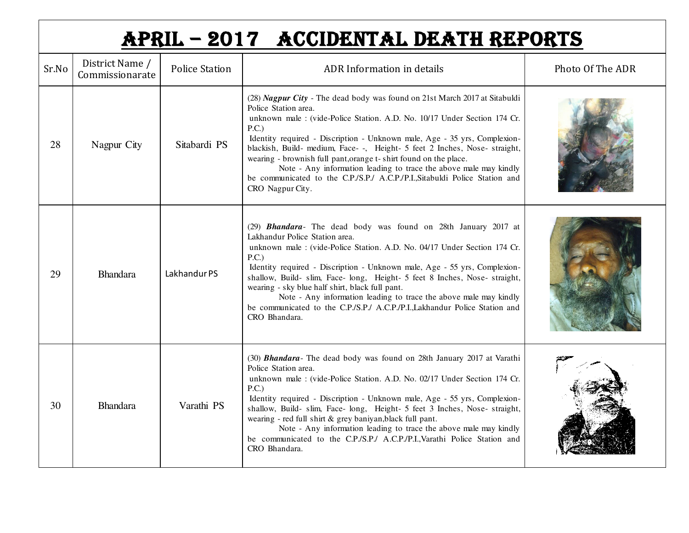|       | APRIL - 2017 ACCIDENTAL DEATH REPORTS |                       |                                                                                                                                                                                                                                                                                                                                                                                                                                                                                                                                                                                                  |                  |  |  |
|-------|---------------------------------------|-----------------------|--------------------------------------------------------------------------------------------------------------------------------------------------------------------------------------------------------------------------------------------------------------------------------------------------------------------------------------------------------------------------------------------------------------------------------------------------------------------------------------------------------------------------------------------------------------------------------------------------|------------------|--|--|
| Sr.No | District Name /<br>Commissionarate    | <b>Police Station</b> | ADR Information in details                                                                                                                                                                                                                                                                                                                                                                                                                                                                                                                                                                       | Photo Of The ADR |  |  |
| 28    | Nagpur City                           | Sitabardi PS          | (28) Nagpur City - The dead body was found on 21st March 2017 at Sitabuldi<br>Police Station area.<br>unknown male : (vide-Police Station. A.D. No. 10/17 Under Section 174 Cr.<br>P.C.)<br>Identity required - Discription - Unknown male, Age - 35 yrs, Complexion-<br>blackish, Build- medium, Face- -, Height- 5 feet 2 Inches, Nose- straight,<br>wearing - brownish full pant, orange t- shirt found on the place.<br>Note - Any information leading to trace the above male may kindly<br>be communicated to the C.P./S.P./ A.C.P./P.I., Sitabuldi Police Station and<br>CRO Nagpur City. |                  |  |  |
| 29    | <b>Bhandara</b>                       | Lakhandur PS          | (29) <b>Bhandara</b> - The dead body was found on 28th January 2017 at<br>Lakhandur Police Station area.<br>unknown male : (vide-Police Station. A.D. No. 04/17 Under Section 174 Cr.<br>P.C.)<br>Identity required - Discription - Unknown male, Age - 55 yrs, Complexion-<br>shallow, Build- slim, Face- long, Height- 5 feet 8 Inches, Nose- straight,<br>wearing - sky blue half shirt, black full pant.<br>Note - Any information leading to trace the above male may kindly<br>be communicated to the C.P./S.P./ A.C.P./P.I., Lakhandur Police Station and<br>CRO Bhandara.                |                  |  |  |
| 30    | <b>Bhandara</b>                       | Varathi PS            | (30) <b>Bhandara</b> - The dead body was found on 28th January 2017 at Varathi<br>Police Station area.<br>unknown male : (vide-Police Station. A.D. No. 02/17 Under Section 174 Cr.<br>P.C.)<br>Identity required - Discription - Unknown male, Age - 55 yrs, Complexion-<br>shallow, Build- slim, Face- long, Height- 5 feet 3 Inches, Nose- straight,<br>wearing - red full shirt & grey baniyan, black full pant.<br>Note - Any information leading to trace the above male may kindly<br>be communicated to the C.P./S.P./ A.C.P./P.I., Varathi Police Station and<br>CRO Bhandara.          |                  |  |  |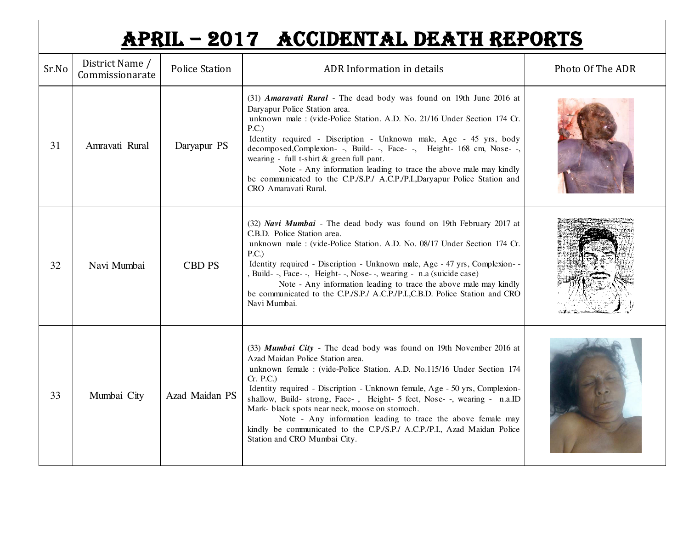|       | APRIL - 2017 ACCIDENTAL DEATH REPORTS |                       |                                                                                                                                                                                                                                                                                                                                                                                                                                                                                                                                                                                         |                  |  |  |
|-------|---------------------------------------|-----------------------|-----------------------------------------------------------------------------------------------------------------------------------------------------------------------------------------------------------------------------------------------------------------------------------------------------------------------------------------------------------------------------------------------------------------------------------------------------------------------------------------------------------------------------------------------------------------------------------------|------------------|--|--|
| Sr.No | District Name /<br>Commissionarate    | <b>Police Station</b> | ADR Information in details                                                                                                                                                                                                                                                                                                                                                                                                                                                                                                                                                              | Photo Of The ADR |  |  |
| 31    | Amravati Rural                        | Daryapur PS           | (31) Amaravati Rural - The dead body was found on 19th June 2016 at<br>Daryapur Police Station area.<br>unknown male : (vide-Police Station. A.D. No. 21/16 Under Section 174 Cr.<br>P.C.)<br>Identity required - Discription - Unknown male, Age - 45 yrs, body<br>decomposed, Complexion-, Build-, Face-, Height- 168 cm, Nose--,<br>wearing - full t-shirt & green full pant.<br>Note - Any information leading to trace the above male may kindly<br>be communicated to the C.P./S.P./ A.C.P./P.I.,Daryapur Police Station and<br>CRO Amaravati Rural.                              |                  |  |  |
| 32    | Navi Mumbai                           | <b>CBD PS</b>         | (32) Navi Mumbai - The dead body was found on 19th February 2017 at<br>C.B.D. Police Station area.<br>unknown male : (vide-Police Station. A.D. No. 08/17 Under Section 174 Cr.<br>P.C.)<br>Identity required - Discription - Unknown male, Age - 47 yrs, Complexion--<br>, Build- -, Face- -, Height- -, Nose- -, wearing - n.a (suicide case)<br>Note - Any information leading to trace the above male may kindly<br>be communicated to the C.P./S.P./ A.C.P./P.I.,C.B.D. Police Station and CRO<br>Navi Mumbai.                                                                     |                  |  |  |
| 33    | Mumbai City                           | Azad Maidan PS        | (33) Mumbai City - The dead body was found on 19th November 2016 at<br>Azad Maidan Police Station area.<br>unknown female : (vide-Police Station. A.D. No.115/16 Under Section 174<br>Cr. P.C.)<br>Identity required - Discription - Unknown female, Age - 50 yrs, Complexion-<br>shallow, Build- strong, Face-, Height- 5 feet, Nose--, wearing - n.a.ID<br>Mark- black spots near neck, moose on stomoch.<br>Note - Any information leading to trace the above female may<br>kindly be communicated to the C.P./S.P./ A.C.P./P.I., Azad Maidan Police<br>Station and CRO Mumbai City. |                  |  |  |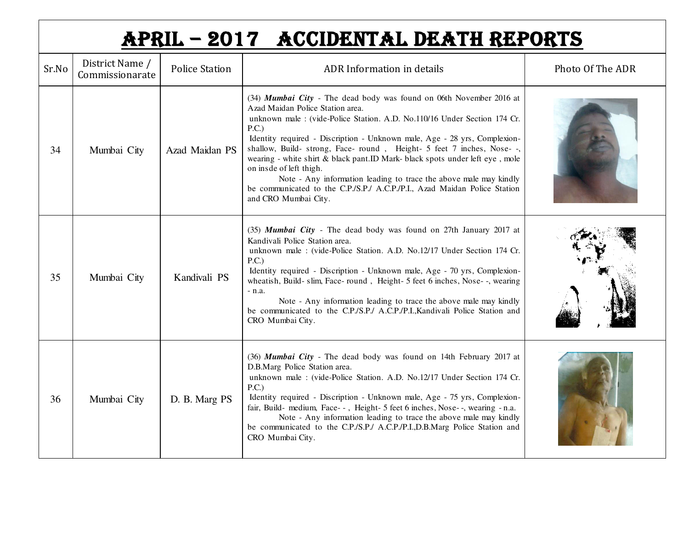|       | APRIL - 2017 ACCIDENTAL DEATH REPORTS |                       |                                                                                                                                                                                                                                                                                                                                                                                                                                                                                                                                                                                                                                        |                  |  |  |
|-------|---------------------------------------|-----------------------|----------------------------------------------------------------------------------------------------------------------------------------------------------------------------------------------------------------------------------------------------------------------------------------------------------------------------------------------------------------------------------------------------------------------------------------------------------------------------------------------------------------------------------------------------------------------------------------------------------------------------------------|------------------|--|--|
| Sr.No | District Name /<br>Commissionarate    | <b>Police Station</b> | ADR Information in details                                                                                                                                                                                                                                                                                                                                                                                                                                                                                                                                                                                                             | Photo Of The ADR |  |  |
| 34    | Mumbai City                           | Azad Maidan PS        | (34) Mumbai City - The dead body was found on 06th November 2016 at<br>Azad Maidan Police Station area.<br>unknown male: (vide-Police Station, A.D. No.110/16 Under Section 174 Cr.<br>P.C.)<br>Identity required - Discription - Unknown male, Age - 28 yrs, Complexion-<br>shallow, Build- strong, Face- round, Height- 5 feet 7 inches, Nose--<br>wearing - white shirt & black pant.ID Mark- black spots under left eye, mole<br>on insde of left thigh.<br>Note - Any information leading to trace the above male may kindly<br>be communicated to the C.P./S.P./ A.C.P./P.I., Azad Maidan Police Station<br>and CRO Mumbai City. |                  |  |  |
| 35    | Mumbai City                           | Kandivali PS          | (35) Mumbai City - The dead body was found on 27th January 2017 at<br>Kandivali Police Station area.<br>unknown male : (vide-Police Station. A.D. No.12/17 Under Section 174 Cr.<br>P.C.)<br>Identity required - Discription - Unknown male, Age - 70 yrs, Complexion-<br>wheatish, Build-slim, Face-round, Height- 5 feet 6 inches, Nose--, wearing<br>$-$ n.a.<br>Note - Any information leading to trace the above male may kindly<br>be communicated to the C.P./S.P./ A.C.P./P.I., Kandivali Police Station and<br>CRO Mumbai City.                                                                                               |                  |  |  |
| 36    | Mumbai City                           | D. B. Marg PS         | (36) Mumbai City - The dead body was found on 14th February 2017 at<br>D.B.Marg Police Station area.<br>unknown male : (vide-Police Station. A.D. No.12/17 Under Section 174 Cr.<br>P.C.)<br>Identity required - Discription - Unknown male, Age - 75 yrs, Complexion-<br>fair, Build- medium, Face--, Height-5 feet 6 inches, Nose--, wearing -n.a.<br>Note - Any information leading to trace the above male may kindly<br>be communicated to the C.P./S.P./ A.C.P./P.I.,D.B.Marg Police Station and<br>CRO Mumbai City.                                                                                                             |                  |  |  |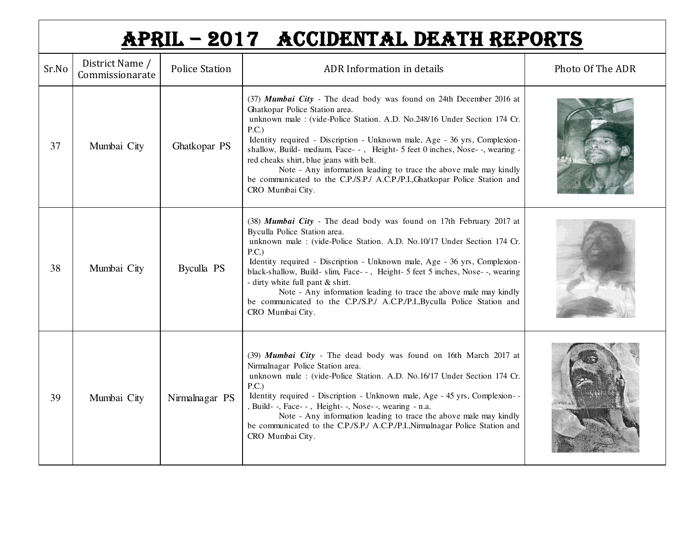| APRIL - 2017 ACCIDENTAL DEATH REPORTS |                                    |                       |                                                                                                                                                                                                                                                                                                                                                                                                                                                                                                                                                                          |                  |  |  |  |
|---------------------------------------|------------------------------------|-----------------------|--------------------------------------------------------------------------------------------------------------------------------------------------------------------------------------------------------------------------------------------------------------------------------------------------------------------------------------------------------------------------------------------------------------------------------------------------------------------------------------------------------------------------------------------------------------------------|------------------|--|--|--|
| Sr.No                                 | District Name /<br>Commissionarate | <b>Police Station</b> | ADR Information in details                                                                                                                                                                                                                                                                                                                                                                                                                                                                                                                                               | Photo Of The ADR |  |  |  |
| 37                                    | Mumbai City                        | Ghatkopar PS          | (37) Mumbai City - The dead body was found on 24th December 2016 at<br>Ghatkopar Police Station area.<br>unknown male : (vide-Police Station. A.D. No.248/16 Under Section 174 Cr.<br>P.C.)<br>Identity required - Discription - Unknown male, Age - 36 yrs, Complexion-<br>shallow, Build- medium, Face--, Height-5 feet 0 inches, Nose--, wearing -<br>red cheaks shirt, blue jeans with belt.<br>Note - Any information leading to trace the above male may kindly<br>be communicated to the C.P./S.P./ A.C.P./P.I., Ghatkopar Police Station and<br>CRO Mumbai City. |                  |  |  |  |
| 38                                    | Mumbai City                        | <b>Byculla PS</b>     | (38) Mumbai City - The dead body was found on 17th February 2017 at<br>Byculla Police Station area.<br>unknown male : (vide-Police Station. A.D. No.10/17 Under Section 174 Cr.<br>P.C.)<br>Identity required - Discription - Unknown male, Age - 36 yrs, Complexion-<br>black-shallow, Build- slim, Face--, Height- 5 feet 5 inches, Nose--, wearing<br>- dirty white full pant & shirt.<br>Note - Any information leading to trace the above male may kindly<br>be communicated to the C.P./S.P./ A.C.P./P.I.,Byculla Police Station and<br>CRO Mumbai City.           |                  |  |  |  |
| 39                                    | Mumbai City                        | Nirmalnagar PS        | (39) Mumbai City - The dead body was found on 16th March 2017 at<br>Nirmalnagar Police Station area.<br>unknown male: (vide-Police Station. A.D. No.16/17 Under Section 174 Cr.<br>P.C.)<br>Identity required - Discription - Unknown male, Age - 45 yrs, Complexion--<br>, Build- -, Face- -, Height- -, Nose- -, wearing - n.a.<br>Note - Any information leading to trace the above male may kindly<br>be communicated to the C.P./S.P./ A.C.P./P.I., Nirmalnagar Police Station and<br>CRO Mumbai City.                                                              |                  |  |  |  |